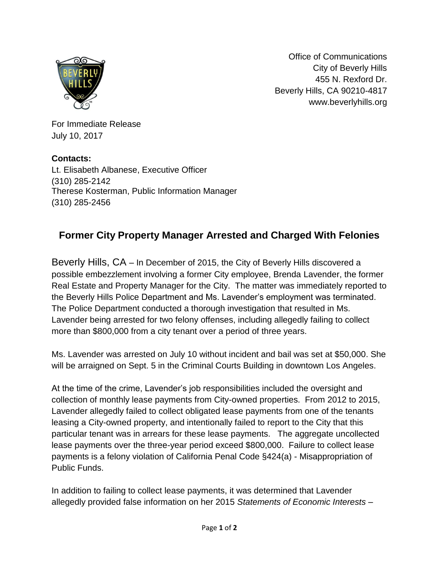

Office of Communications City of Beverly Hills 455 N. Rexford Dr. Beverly Hills, CA 90210-4817 www.beverlyhills.org

For Immediate Release July 10, 2017

**Contacts:**  Lt. Elisabeth Albanese, Executive Officer (310) 285-2142 Therese Kosterman, Public Information Manager (310) 285-2456

## **Former City Property Manager Arrested and Charged With Felonies**

Beverly Hills, CA – In December of 2015, the City of Beverly Hills discovered a possible embezzlement involving a former City employee, Brenda Lavender, the former Real Estate and Property Manager for the City. The matter was immediately reported to the Beverly Hills Police Department and Ms. Lavender's employment was terminated. The Police Department conducted a thorough investigation that resulted in Ms. Lavender being arrested for two felony offenses, including allegedly failing to collect more than \$800,000 from a city tenant over a period of three years.

Ms. Lavender was arrested on July 10 without incident and bail was set at \$50,000. She will be arraigned on Sept. 5 in the Criminal Courts Building in downtown Los Angeles.

At the time of the crime, Lavender's job responsibilities included the oversight and collection of monthly lease payments from City-owned properties. From 2012 to 2015, Lavender allegedly failed to collect obligated lease payments from one of the tenants leasing a City-owned property, and intentionally failed to report to the City that this particular tenant was in arrears for these lease payments. The aggregate uncollected lease payments over the three-year period exceed \$800,000. Failure to collect lease payments is a felony violation of California Penal Code §424(a) - Misappropriation of Public Funds.

In addition to failing to collect lease payments, it was determined that Lavender allegedly provided false information on her 2015 *Statements of Economic Interests –*